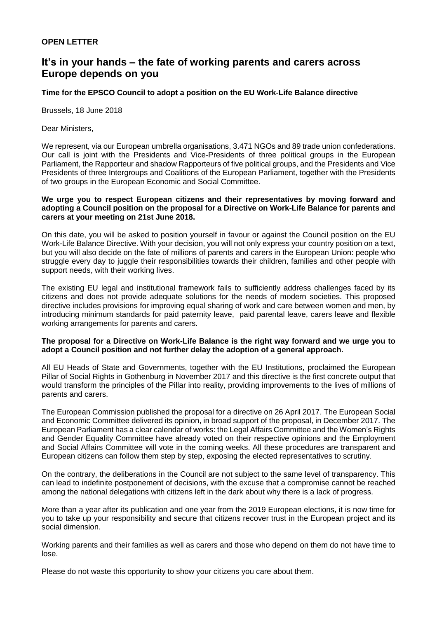## **OPEN LETTER**

# **It's in your hands – the fate of working parents and carers across Europe depends on you**

## **Time for the EPSCO Council to adopt a position on the EU Work-Life Balance directive**

Brussels, 18 June 2018

Dear Ministers,

We represent, via our European umbrella organisations, 3.471 NGOs and 89 trade union confederations. Our call is joint with the Presidents and Vice-Presidents of three political groups in the European Parliament, the Rapporteur and shadow Rapporteurs of five political groups, and the Presidents and Vice Presidents of three Intergroups and Coalitions of the European Parliament, together with the Presidents of two groups in the European Economic and Social Committee.

#### **We urge you to respect European citizens and their representatives by moving forward and adopting a Council position on the proposal for a Directive on Work-Life Balance for parents and carers at your meeting on 21st June 2018.**

On this date, you will be asked to position yourself in favour or against the Council position on the EU Work-Life Balance Directive. With your decision, you will not only express your country position on a text, but you will also decide on the fate of millions of parents and carers in the European Union: people who struggle every day to juggle their responsibilities towards their children, families and other people with support needs, with their working lives.

The existing EU legal and institutional framework fails to sufficiently address challenges faced by its citizens and does not provide adequate solutions for the needs of modern societies. This proposed directive includes provisions for improving equal sharing of work and care between women and men, by introducing minimum standards for paid paternity leave, paid parental leave, carers leave and flexible working arrangements for parents and carers.

### **The proposal for a Directive on Work-Life Balance is the right way forward and we urge you to adopt a Council position and not further delay the adoption of a general approach.**

All EU Heads of State and Governments, together with the EU Institutions, proclaimed the European Pillar of Social Rights in Gothenburg in November 2017 and this directive is the first concrete output that would transform the principles of the Pillar into reality, providing improvements to the lives of millions of parents and carers.

The European Commission published the proposal for a directive on 26 April 2017. The European Social and Economic Committee delivered its opinion, in broad support of the proposal, in December 2017. The European Parliament has a clear calendar of works: the Legal Affairs Committee and the Women's Rights and Gender Equality Committee have already voted on their respective opinions and the Employment and Social Affairs Committee will vote in the coming weeks. All these procedures are transparent and European citizens can follow them step by step, exposing the elected representatives to scrutiny.

On the contrary, the deliberations in the Council are not subject to the same level of transparency. This can lead to indefinite postponement of decisions, with the excuse that a compromise cannot be reached among the national delegations with citizens left in the dark about why there is a lack of progress.

More than a year after its publication and one year from the 2019 European elections, it is now time for you to take up your responsibility and secure that citizens recover trust in the European project and its social dimension.

Working parents and their families as well as carers and those who depend on them do not have time to lose.

Please do not waste this opportunity to show your citizens you care about them.